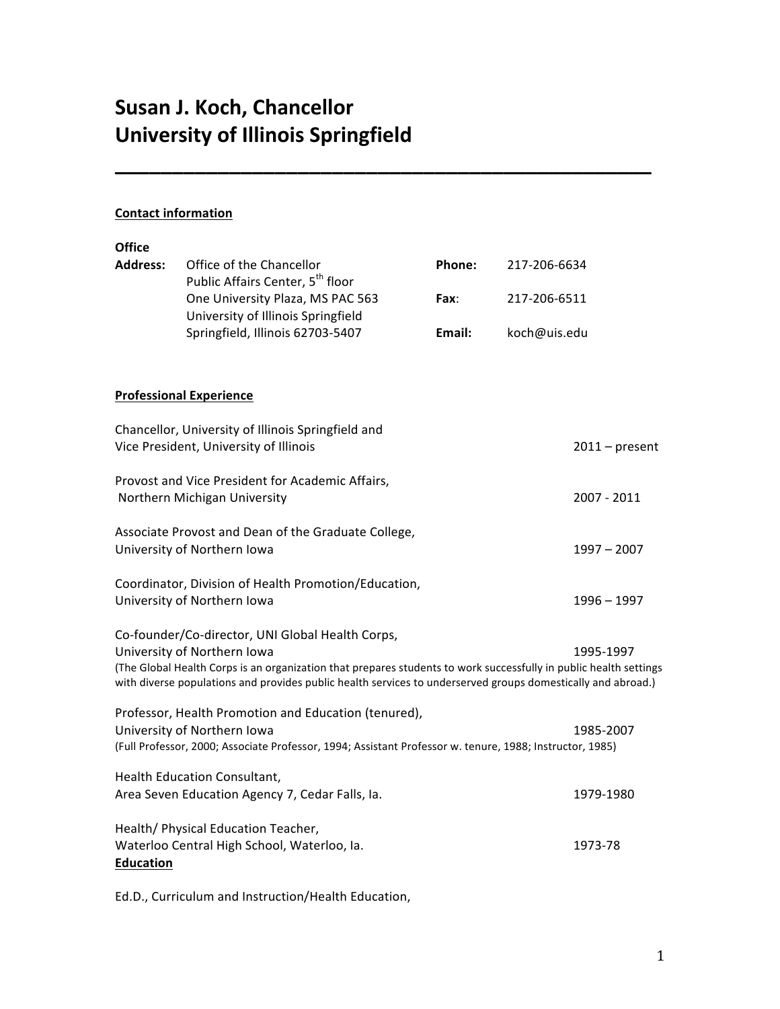# **Susan J. Koch, Chancellor University of Illinois Springfield**

## **Contact information**

| <b>Office</b>    |                                                                                                                                                                                                                                                                                                                      |        |              |                  |  |
|------------------|----------------------------------------------------------------------------------------------------------------------------------------------------------------------------------------------------------------------------------------------------------------------------------------------------------------------|--------|--------------|------------------|--|
| <b>Address:</b>  | Office of the Chancellor<br>Public Affairs Center, 5 <sup>th</sup> floor                                                                                                                                                                                                                                             | Phone: | 217-206-6634 |                  |  |
|                  | One University Plaza, MS PAC 563<br>University of Illinois Springfield<br>Springfield, Illinois 62703-5407                                                                                                                                                                                                           | Fax:   | 217-206-6511 |                  |  |
|                  |                                                                                                                                                                                                                                                                                                                      | Email: | koch@uis.edu |                  |  |
|                  | <b>Professional Experience</b>                                                                                                                                                                                                                                                                                       |        |              |                  |  |
|                  | Chancellor, University of Illinois Springfield and<br>Vice President, University of Illinois                                                                                                                                                                                                                         |        |              | $2011$ – present |  |
|                  | Provost and Vice President for Academic Affairs,<br>Northern Michigan University                                                                                                                                                                                                                                     |        |              | 2007 - 2011      |  |
|                  | Associate Provost and Dean of the Graduate College,<br>University of Northern Iowa                                                                                                                                                                                                                                   |        |              | $1997 - 2007$    |  |
|                  | Coordinator, Division of Health Promotion/Education,<br>University of Northern Iowa                                                                                                                                                                                                                                  |        |              | 1996 - 1997      |  |
|                  | Co-founder/Co-director, UNI Global Health Corps,<br>University of Northern Iowa<br>(The Global Health Corps is an organization that prepares students to work successfully in public health settings<br>with diverse populations and provides public health services to underserved groups domestically and abroad.) |        |              | 1995-1997        |  |
|                  | Professor, Health Promotion and Education (tenured),<br>University of Northern Iowa<br>(Full Professor, 2000; Associate Professor, 1994; Assistant Professor w. tenure, 1988; Instructor, 1985)                                                                                                                      |        |              | 1985-2007        |  |
|                  | Health Education Consultant,<br>Area Seven Education Agency 7, Cedar Falls, Ia.                                                                                                                                                                                                                                      |        |              | 1979-1980        |  |
| <b>Education</b> | Health/ Physical Education Teacher,<br>Waterloo Central High School, Waterloo, Ia.                                                                                                                                                                                                                                   |        |              | 1973-78          |  |

**\_\_\_\_\_\_\_\_\_\_\_\_\_\_\_\_\_\_\_\_\_\_\_\_\_\_\_\_\_\_\_\_\_\_\_\_\_\_\_\_\_\_\_\_\_\_\_**

Ed.D., Curriculum and Instruction/Health Education,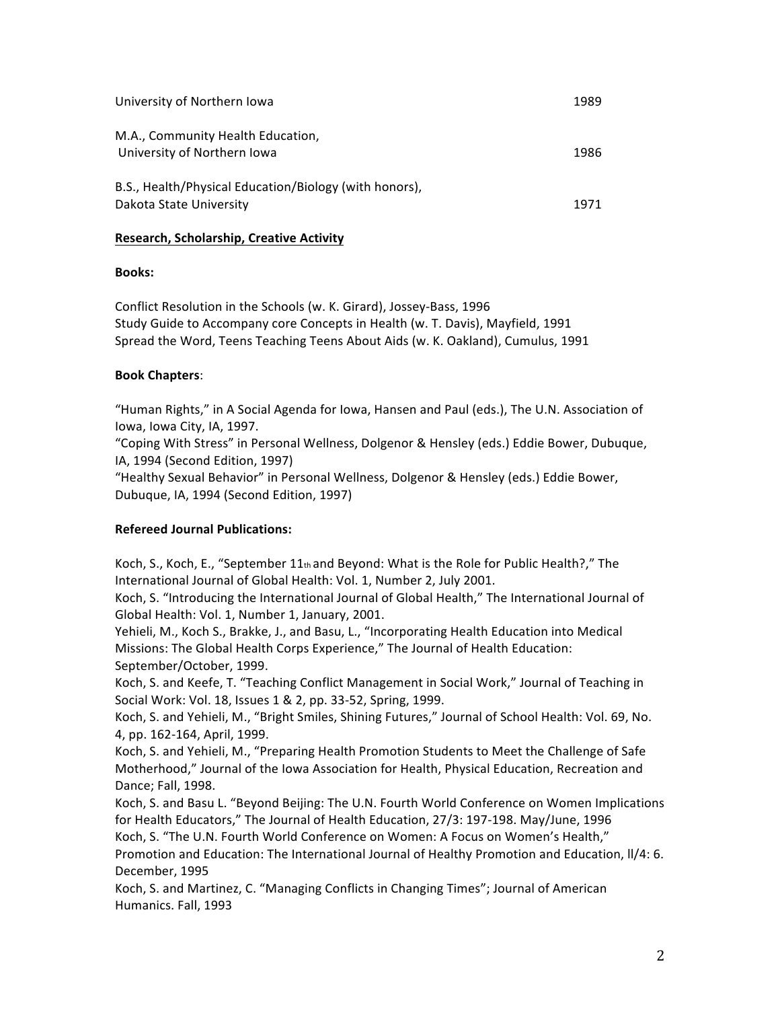| University of Northern Iowa                                                       | 1989 |
|-----------------------------------------------------------------------------------|------|
| M.A., Community Health Education,<br>University of Northern Iowa                  | 1986 |
| B.S., Health/Physical Education/Biology (with honors),<br>Dakota State University | 1971 |

## **Research,&Scholarship,&Creative&Activity**

## **Books:**

Conflict Resolution in the Schools (w. K. Girard), Jossey-Bass, 1996 Study Guide to Accompany core Concepts in Health (w. T. Davis), Mayfield, 1991 Spread the Word, Teens Teaching Teens About Aids (w. K. Oakland), Cumulus, 1991

## **Book&Chapters**:

"Human Rights," in A Social Agenda for Iowa, Hansen and Paul (eds.), The U.N. Association of Iowa, Iowa City, IA, 1997.

"Coping With Stress" in Personal Wellness, Dolgenor & Hensley (eds.) Eddie Bower, Dubuque, IA, 1994 (Second Edition, 1997)

"Healthy Sexual Behavior" in Personal Wellness, Dolgenor & Hensley (eds.) Eddie Bower, Dubuque, IA, 1994 (Second Edition, 1997)

## **Refereed Journal Publications:**

Koch, S., Koch, E., "September  $11<sub>th</sub>$  and Beyond: What is the Role for Public Health?," The International Journal of Global Health: Vol. 1, Number 2, July 2001.

Koch, S. "Introducing the International Journal of Global Health," The International Journal of Global Health: Vol. 1, Number 1, January, 2001.

Yehieli, M., Koch S., Brakke, J., and Basu, L., "Incorporating Health Education into Medical Missions: The Global Health Corps Experience," The Journal of Health Education: September/October, 1999.

Koch, S. and Keefe, T. "Teaching Conflict Management in Social Work," Journal of Teaching in Social Work: Vol. 18, Issues 1 & 2, pp. 33-52, Spring, 1999.

Koch, S. and Yehieli, M., "Bright Smiles, Shining Futures," Journal of School Health: Vol. 69, No. 4, pp. 162-164, April, 1999.

Koch, S. and Yehieli, M., "Preparing Health Promotion Students to Meet the Challenge of Safe Motherhood," Journal of the Iowa Association for Health, Physical Education, Recreation and Dance; Fall, 1998.

Koch, S. and Basu L. "Beyond Beijing: The U.N. Fourth World Conference on Women Implications for Health Educators," The Journal of Health Education, 27/3: 197-198. May/June, 1996 Koch, S. "The U.N. Fourth World Conference on Women: A Focus on Women's Health,"

Promotion and Education: The International Journal of Healthy Promotion and Education, II/4: 6. December, 1995

Koch, S. and Martinez, C. "Managing Conflicts in Changing Times"; Journal of American Humanics. Fall, 1993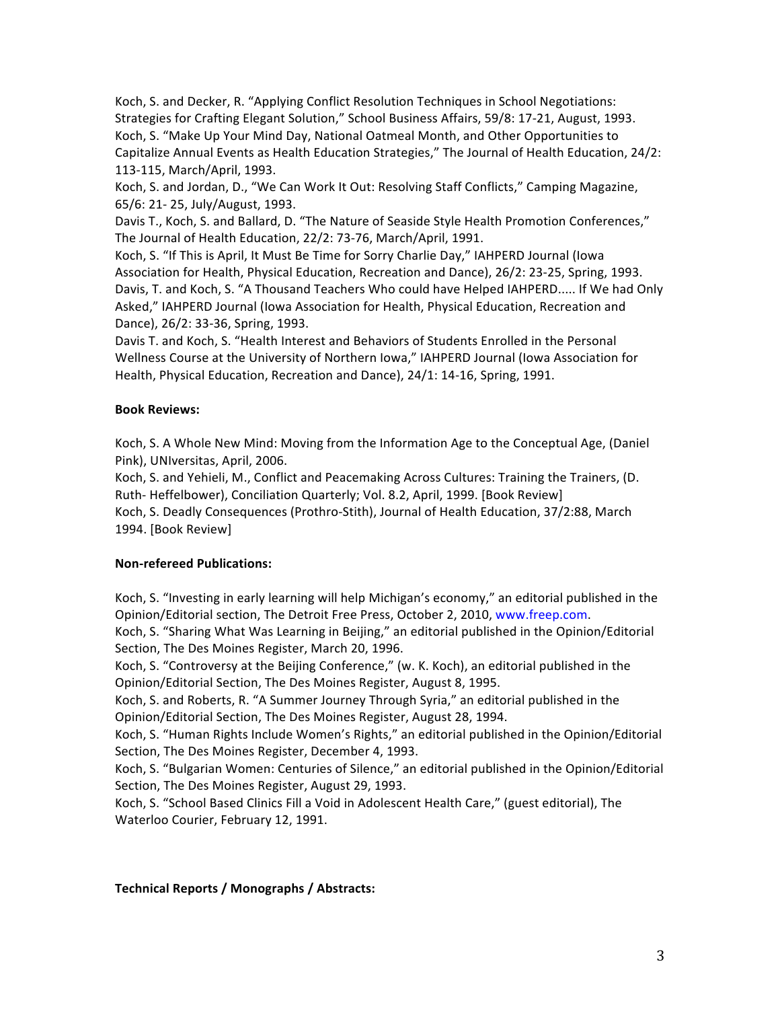Koch, S. and Decker, R. "Applying Conflict Resolution Techniques in School Negotiations: Strategies for Crafting Elegant Solution," School Business Affairs, 59/8: 17-21, August, 1993. Koch, S. "Make Up Your Mind Day, National Oatmeal Month, and Other Opportunities to Capitalize Annual Events as Health Education Strategies," The Journal of Health Education, 24/2: 113-115, March/April, 1993.

Koch, S. and Jordan, D., "We Can Work It Out: Resolving Staff Conflicts," Camping Magazine, 65/6: 21- 25, July/August, 1993.

Davis T., Koch, S. and Ballard, D. "The Nature of Seaside Style Health Promotion Conferences," The Journal of Health Education, 22/2: 73-76, March/April, 1991.

Koch, S. "If This is April, It Must Be Time for Sorry Charlie Day," IAHPERD Journal (Iowa Association for Health, Physical Education, Recreation and Dance), 26/2: 23-25, Spring, 1993. Davis, T. and Koch, S. "A Thousand Teachers Who could have Helped IAHPERD..... If We had Only Asked," IAHPERD Journal (Iowa Association for Health, Physical Education, Recreation and Dance), 26/2: 33-36, Spring, 1993.

Davis T. and Koch, S. "Health Interest and Behaviors of Students Enrolled in the Personal Wellness Course at the University of Northern Iowa," IAHPERD Journal (Iowa Association for Health, Physical Education, Recreation and Dance), 24/1: 14-16, Spring, 1991.

## **Book&Reviews:**

Koch, S. A Whole New Mind: Moving from the Information Age to the Conceptual Age, (Daniel Pink), UNIversitas, April, 2006.

Koch, S. and Yehieli, M., Conflict and Peacemaking Across Cultures: Training the Trainers, (D. Ruth-Heffelbower), Conciliation Quarterly; Vol. 8.2, April, 1999. [Book Review] Koch, S. Deadly Consequences (Prothro-Stith), Journal of Health Education, 37/2:88, March

1994. [Book Review]

## **Non-refereed Publications:**

Koch, S. "Investing in early learning will help Michigan's economy," an editorial published in the Opinion/Editorial section, The Detroit Free Press, October 2, 2010, www.freep.com.

Koch, S. "Sharing What Was Learning in Beijing," an editorial published in the Opinion/Editorial Section, The Des Moines Register, March 20, 1996.

Koch, S. "Controversy at the Beijing Conference," (w. K. Koch), an editorial published in the Opinion/Editorial Section, The Des Moines Register, August 8, 1995.

Koch, S. and Roberts, R. "A Summer Journey Through Syria," an editorial published in the Opinion/Editorial Section, The Des Moines Register, August 28, 1994.

Koch, S. "Human Rights Include Women's Rights," an editorial published in the Opinion/Editorial Section, The Des Moines Register, December 4, 1993.

Koch, S. "Bulgarian Women: Centuries of Silence," an editorial published in the Opinion/Editorial Section, The Des Moines Register, August 29, 1993.

Koch, S. "School Based Clinics Fill a Void in Adolescent Health Care," (guest editorial), The Waterloo Courier, February 12, 1991.

## Technical Reports / Monographs / Abstracts: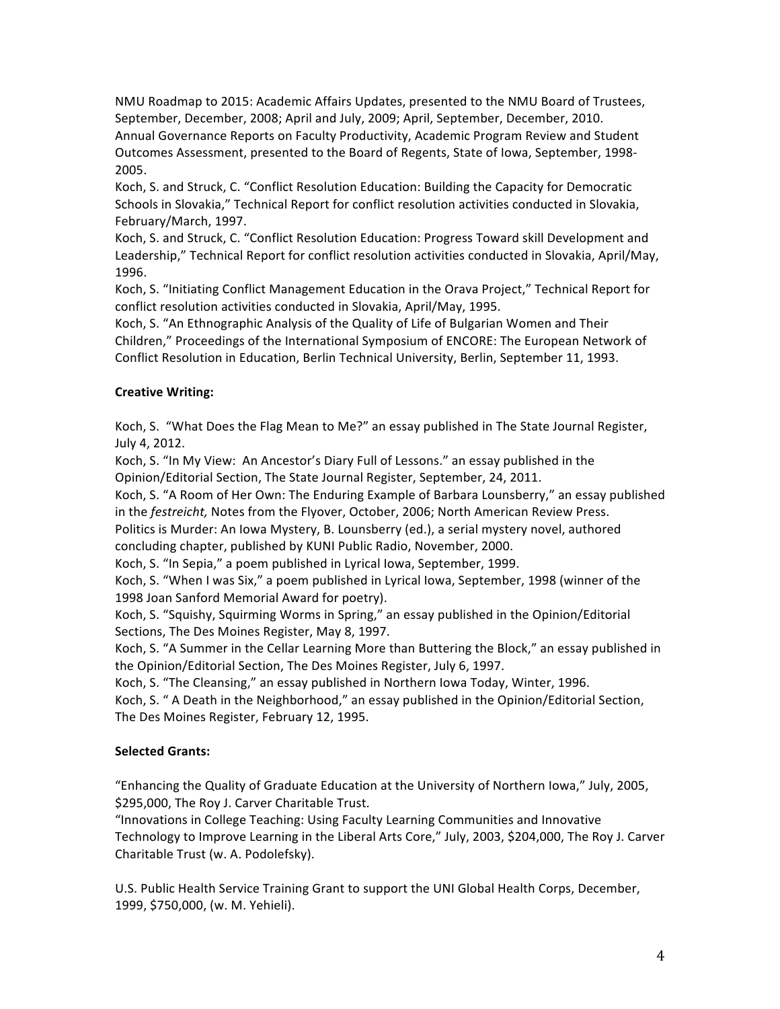NMU Roadmap to 2015: Academic Affairs Updates, presented to the NMU Board of Trustees, September, December, 2008; April and July, 2009; April, September, December, 2010. Annual Governance Reports on Faculty Productivity, Academic Program Review and Student Outcomes Assessment, presented to the Board of Regents, State of Iowa, September, 1998-2005.

Koch, S. and Struck, C. "Conflict Resolution Education: Building the Capacity for Democratic Schools in Slovakia," Technical Report for conflict resolution activities conducted in Slovakia, February/March, 1997.

Koch, S. and Struck, C. "Conflict Resolution Education: Progress Toward skill Development and Leadership," Technical Report for conflict resolution activities conducted in Slovakia, April/May, 1996.

Koch, S. "Initiating Conflict Management Education in the Orava Project," Technical Report for conflict resolution activities conducted in Slovakia, April/May, 1995.

Koch, S. "An Ethnographic Analysis of the Quality of Life of Bulgarian Women and Their Children," Proceedings of the International Symposium of ENCORE: The European Network of Conflict Resolution in Education, Berlin Technical University, Berlin, September 11, 1993.

## **Creative Writing:**

Koch, S. "What Does the Flag Mean to Me?" an essay published in The State Journal Register, July 4, 2012.

Koch, S. "In My View: An Ancestor's Diary Full of Lessons." an essay published in the Opinion/Editorial Section, The State Journal Register, September, 24, 2011.

Koch, S. "A Room of Her Own: The Enduring Example of Barbara Lounsberry," an essay published in the *festreicht*, Notes from the Flyover, October, 2006; North American Review Press.

Politics is Murder: An Iowa Mystery, B. Lounsberry (ed.), a serial mystery novel, authored concluding chapter, published by KUNI Public Radio, November, 2000.

Koch, S. "In Sepia," a poem published in Lyrical Iowa, September, 1999.

Koch, S. "When I was Six," a poem published in Lyrical Iowa, September, 1998 (winner of the 1998 Joan Sanford Memorial Award for poetry).

Koch, S. "Squishy, Squirming Worms in Spring," an essay published in the Opinion/Editorial Sections, The Des Moines Register, May 8, 1997.

Koch, S. "A Summer in the Cellar Learning More than Buttering the Block," an essay published in the Opinion/Editorial Section, The Des Moines Register, July 6, 1997.

Koch, S. "The Cleansing," an essay published in Northern Iowa Today, Winter, 1996.

Koch, S. " A Death in the Neighborhood," an essay published in the Opinion/Editorial Section, The Des Moines Register, February 12, 1995.

## **Selected Grants:**

"Enhancing the Quality of Graduate Education at the University of Northern Iowa," July, 2005, \$295,000, The Roy J. Carver Charitable Trust.

"Innovations in College Teaching: Using Faculty Learning Communities and Innovative Technology to Improve Learning in the Liberal Arts Core," July, 2003, \$204,000, The Roy J. Carver Charitable Trust (w. A. Podolefsky).

U.S. Public Health Service Training Grant to support the UNI Global Health Corps, December, 1999, \$750,000, (w. M. Yehieli).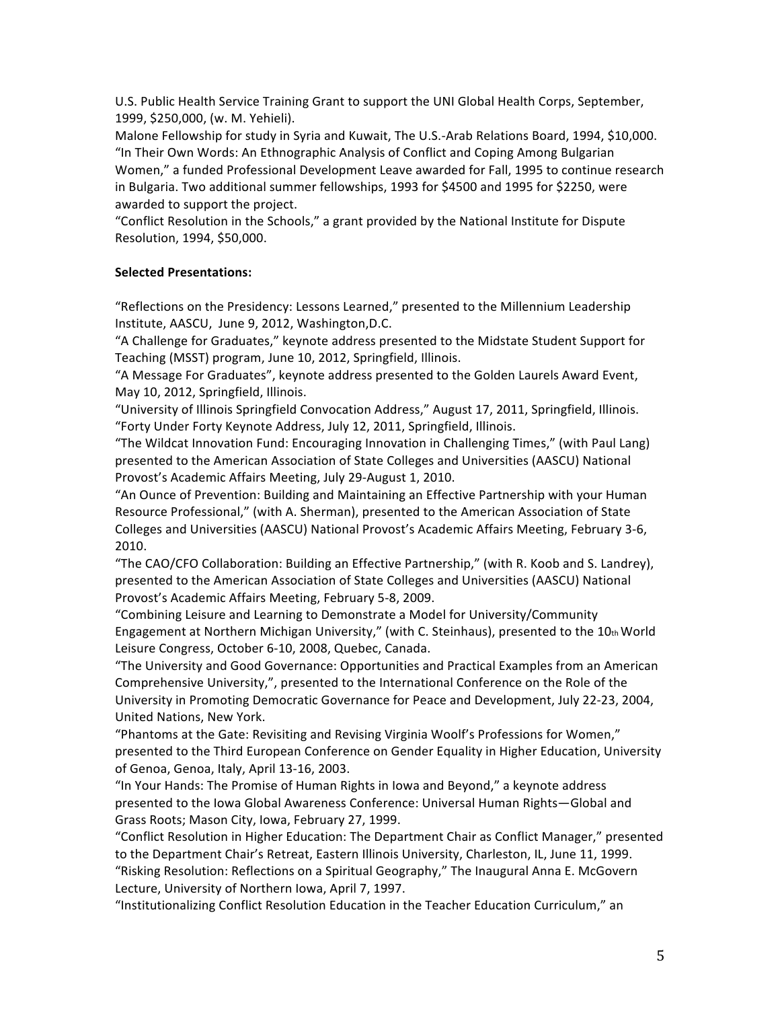U.S. Public Health Service Training Grant to support the UNI Global Health Corps, September, 1999, \$250,000, (w. M. Yehieli).

Malone Fellowship for study in Syria and Kuwait, The U.S.-Arab Relations Board, 1994, \$10,000. "In Their Own Words: An Ethnographic Analysis of Conflict and Coping Among Bulgarian Women," a funded Professional Development Leave awarded for Fall, 1995 to continue research in Bulgaria. Two additional summer fellowships, 1993 for \$4500 and 1995 for \$2250, were awarded to support the project.

"Conflict Resolution in the Schools," a grant provided by the National Institute for Dispute Resolution, 1994, \$50,000.

## **Selected&Presentations:**

"Reflections on the Presidency: Lessons Learned," presented to the Millennium Leadership Institute, AASCU, June 9, 2012, Washington,D.C.

"A Challenge for Graduates," keynote address presented to the Midstate Student Support for Teaching (MSST) program, June 10, 2012, Springfield, Illinois.

"A Message For Graduates", keynote address presented to the Golden Laurels Award Event, May 10, 2012, Springfield, Illinois.

"University of Illinois Springfield Convocation Address," August 17, 2011, Springfield, Illinois. "Forty Under Forty Keynote Address, July 12, 2011, Springfield, Illinois.

"The Wildcat Innovation Fund: Encouraging Innovation in Challenging Times," (with Paul Lang) presented to the American Association of State Colleges and Universities (AASCU) National Provost's Academic Affairs Meeting, July 29-August 1, 2010.

"An Ounce of Prevention: Building and Maintaining an Effective Partnership with your Human Resource Professional," (with A. Sherman), presented to the American Association of State Colleges and Universities (AASCU) National Provost's Academic Affairs Meeting, February 3-6, 2010.

"The CAO/CFO Collaboration: Building an Effective Partnership," (with R. Koob and S. Landrey), presented to the American Association of State Colleges and Universities (AASCU) National Provost's Academic Affairs Meeting, February 5-8, 2009.

"Combining Leisure and Learning to Demonstrate a Model for University/Community Engagement at Northern Michigan University," (with C. Steinhaus), presented to the  $10<sub>th</sub>$  World Leisure Congress, October 6-10, 2008, Quebec, Canada.

"The University and Good Governance: Opportunities and Practical Examples from an American Comprehensive University,", presented to the International Conference on the Role of the University in Promoting Democratic Governance for Peace and Development, July 22-23, 2004, United Nations, New York.

"Phantoms at the Gate: Revisiting and Revising Virginia Woolf's Professions for Women," presented to the Third European Conference on Gender Equality in Higher Education, University of Genoa, Genoa, Italy, April 13-16, 2003.

"In Your Hands: The Promise of Human Rights in Iowa and Beyond," a keynote address presented to the Iowa Global Awareness Conference: Universal Human Rights-Global and Grass Roots; Mason City, Iowa, February 27, 1999.

"Conflict Resolution in Higher Education: The Department Chair as Conflict Manager," presented to the Department Chair's Retreat, Eastern Illinois University, Charleston, IL, June 11, 1999. "Risking Resolution: Reflections on a Spiritual Geography," The Inaugural Anna E. McGovern Lecture, University of Northern Iowa, April 7, 1997.

"Institutionalizing Conflict Resolution Education in the Teacher Education Curriculum," an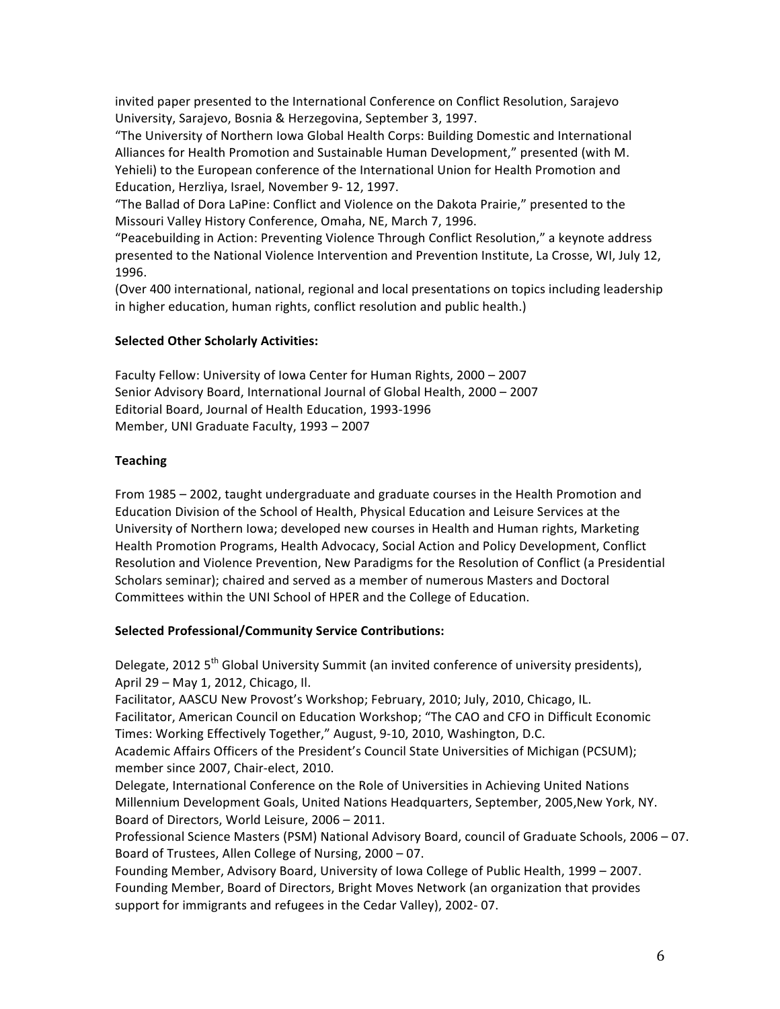invited paper presented to the International Conference on Conflict Resolution, Sarajevo University, Sarajevo, Bosnia & Herzegovina, September 3, 1997.

"The University of Northern Iowa Global Health Corps: Building Domestic and International Alliances for Health Promotion and Sustainable Human Development," presented (with M. Yehieli) to the European conference of the International Union for Health Promotion and Education, Herzliya, Israel, November 9-12, 1997.

"The Ballad of Dora LaPine: Conflict and Violence on the Dakota Prairie," presented to the Missouri Valley History Conference, Omaha, NE, March 7, 1996.

"Peacebuilding in Action: Preventing Violence Through Conflict Resolution," a keynote address presented to the National Violence Intervention and Prevention Institute, La Crosse, WI, July 12, 1996.

(Over 400 international, national, regional and local presentations on topics including leadership in higher education, human rights, conflict resolution and public health.)

#### **Selected Other Scholarly Activities:**

Faculty Fellow: University of Iowa Center for Human Rights, 2000 - 2007 Senior Advisory Board, International Journal of Global Health, 2000 - 2007 Editorial Board, Journal of Health Education, 1993-1996 Member, UNI Graduate Faculty, 1993 - 2007

#### **Teaching**

From 1985 - 2002, taught undergraduate and graduate courses in the Health Promotion and Education Division of the School of Health, Physical Education and Leisure Services at the University of Northern Iowa; developed new courses in Health and Human rights, Marketing Health Promotion Programs, Health Advocacy, Social Action and Policy Development, Conflict Resolution and Violence Prevention, New Paradigms for the Resolution of Conflict (a Presidential Scholars seminar); chaired and served as a member of numerous Masters and Doctoral Committees within the UNI School of HPER and the College of Education.

## Selected Professional/Community Service Contributions:

Delegate, 2012 5<sup>th</sup> Global University Summit (an invited conference of university presidents), April 29 - May 1, 2012, Chicago, Il.

Facilitator, AASCU New Provost's Workshop; February, 2010; July, 2010, Chicago, IL. Facilitator, American Council on Education Workshop; "The CAO and CFO in Difficult Economic Times: Working Effectively Together," August, 9-10, 2010, Washington, D.C.

Academic Affairs Officers of the President's Council State Universities of Michigan (PCSUM); member since 2007, Chair-elect, 2010.

Delegate, International Conference on the Role of Universities in Achieving United Nations Millennium Development Goals, United Nations Headquarters, September, 2005,New York, NY. Board of Directors, World Leisure, 2006 - 2011.

Professional Science Masters (PSM) National Advisory Board, council of Graduate Schools, 2006 - 07. Board of Trustees, Allen College of Nursing, 2000 - 07.

Founding Member, Advisory Board, University of Iowa College of Public Health, 1999 - 2007. Founding Member, Board of Directors, Bright Moves Network (an organization that provides support for immigrants and refugees in the Cedar Valley), 2002-07.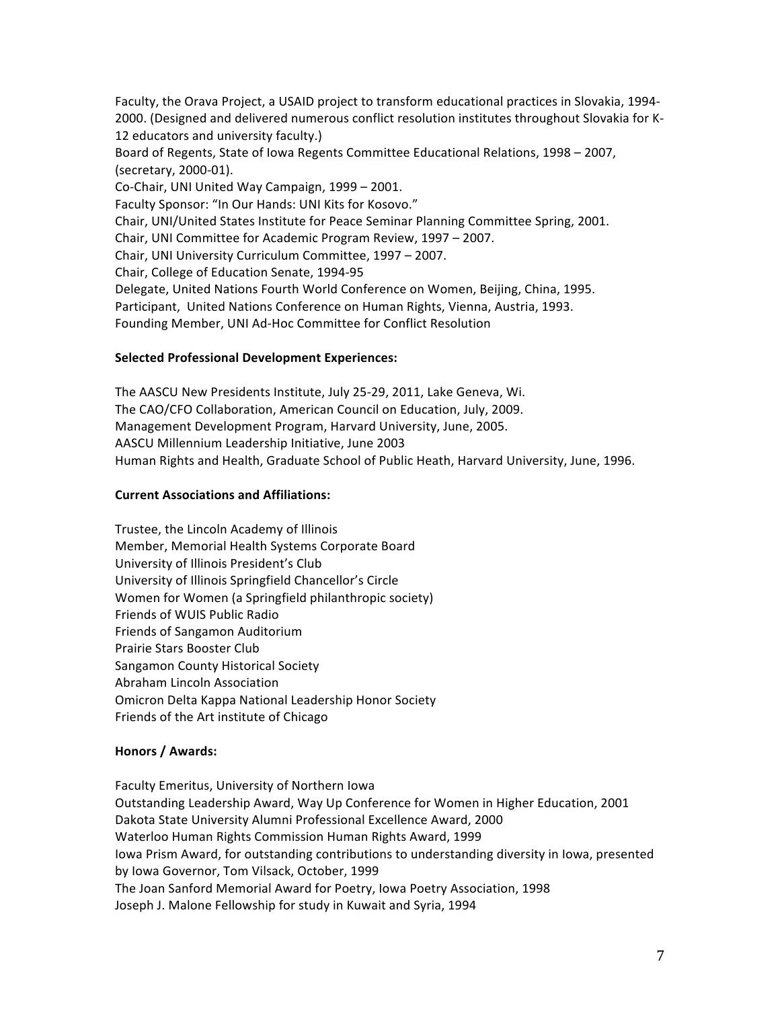Faculty, the Orava Project, a USAID project to transform educational practices in Slovakia, 1994-2000. (Designed and delivered numerous conflict resolution institutes throughout Slovakia for K-12 educators and university faculty.) Board of Regents, State of Iowa Regents Committee Educational Relations, 1998 - 2007, (secretary, 2000-01). Co-Chair, UNI United Way Campaign, 1999 - 2001. Faculty Sponsor: "In Our Hands: UNI Kits for Kosovo." Chair, UNI/United States Institute for Peace Seminar Planning Committee Spring, 2001. Chair, UNI Committee for Academic Program Review, 1997 - 2007. Chair, UNI University Curriculum Committee, 1997 - 2007. Chair, College of Education Senate, 1994-95 Delegate, United Nations Fourth World Conference on Women, Beijing, China, 1995. Participant, United Nations Conference on Human Rights, Vienna, Austria, 1993. Founding Member, UNI Ad-Hoc Committee for Conflict Resolution

#### Selected Professional Development Experiences:

The AASCU New Presidents Institute, July 25-29, 2011, Lake Geneva, Wi. The CAO/CFO Collaboration, American Council on Education, July, 2009. Management Development Program, Harvard University, June, 2005. AASCU Millennium Leadership Initiative, June 2003 Human Rights and Health, Graduate School of Public Heath, Harvard University, June, 1996.

#### **Current Associations and Affiliations:**

Trustee, the Lincoln Academy of Illinois Member, Memorial Health Systems Corporate Board University of Illinois President's Club University of Illinois Springfield Chancellor's Circle Women for Women (a Springfield philanthropic society) Friends of WUIS Public Radio Friends of Sangamon Auditorium Prairie Stars Booster Club Sangamon County Historical Society Abraham Lincoln Association Omicron Delta Kappa National Leadership Honor Society Friends of the Art institute of Chicago

#### **Honors / Awards:**

Faculty Emeritus, University of Northern Iowa Outstanding Leadership Award, Way Up Conference for Women in Higher Education, 2001 Dakota State University Alumni Professional Excellence Award, 2000 Waterloo Human Rights Commission Human Rights Award, 1999 Iowa Prism Award, for outstanding contributions to understanding diversity in Iowa, presented by Iowa Governor, Tom Vilsack, October, 1999 The Joan Sanford Memorial Award for Poetry, Iowa Poetry Association, 1998 Joseph J. Malone Fellowship for study in Kuwait and Syria, 1994